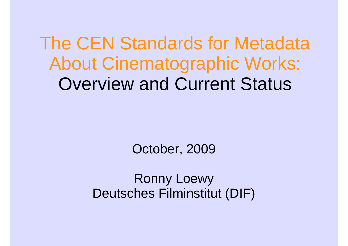The CEN Standards for Metadata About Cinematographic Works:Overview and Current Status

October, 2009

Ronny LoewyDeutsches Filminstitut (DIF)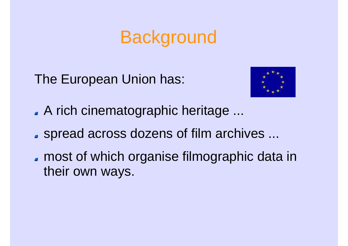## **Background**

The European Union has:



- A rich cinematographic heritage ...
- spread across dozens of film archives ...
- **nost of which organise filmographic data in** their own ways.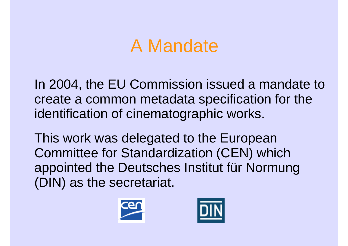## A Mandate

In 2004, the EU Commission issued a mandate tocreate a common metadata specification for the identification of cinematographic works.

This work was delegated to the European Committee for Standardization (CEN) which appointed the Deutsches Institut für Normung (DIN) as the secretariat.



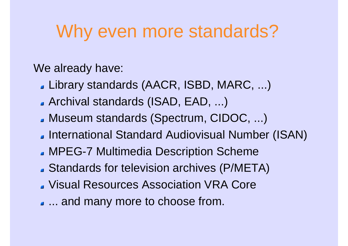## Why even more standards?

We already have:

- Library standards (AACR, ISBD, MARC, ...)
- Archival standards (ISAD, EAD, ...)
- Museum standards (Spectrum, CIDOC, ...)
- **International Standard Audiovisual Number (ISAN)**
- MPEG-7 Multimedia Description Scheme
- Standards for television archives (P/META)
- Visual Resources Association VRA Core
- ... and many more to choose from.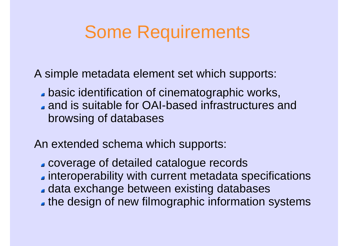## Some Requirements

A simple metadata element set which supports:

**basic identification of cinematographic works,** and is suitable for OAI-based infrastructures and browsing of databases

An extended schema which supports:

- coverage of detailed catalogue records
- interoperability with current metadata specifications
- data exchange between existing databases
- **the design of new filmographic information systems**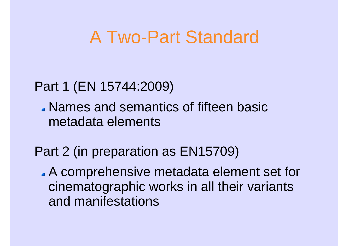## A Two-Part Standard

#### Part 1 (EN 15744:2009)

Names and semantics of fifteen basic metadata elements

#### Part 2 (in preparation as EN15709)

A comprehensive metadata element set for cinematographic works in all their variants and manifestations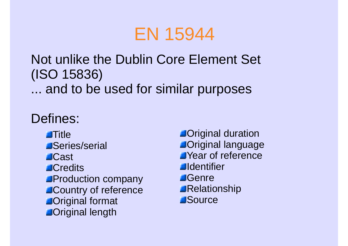## EN 15944

#### Not unlike the Dublin Core Element Set (ISO 15836)... and to be used for similar purposes

#### Defines:

**Title**  Series/serial**Cast Credits**  Production company Country of reference**Confidence In Arrangement ADriginal length** 

**Original duration**  Original language Year of reference**Aldentifier B**Genre Relationship**Source**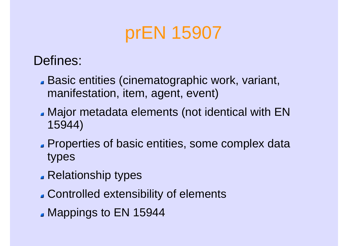## prEN 15907

#### Defines:

- Basic entities (cinematographic work, variant, manifestation, item, agent, event)
- Major metadata elements (not identical with EN 15944)
- **Properties of basic entities, some complex data** types
- **Relationship types**
- Controlled extensibility of elements
- **Mappings to EN 15944**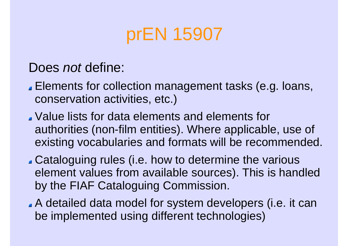## prEN 15907

#### Does *not* define:

- Elements for collection management tasks (e.g. loans, conservation activities, etc.)
- Value lists for data elements and elements for authorities (non-film entities). Where applicable, use of existing vocabularies and formats will be recommended.
- Cataloguing rules (i.e. how to determine the various element values from available sources). This is handled by the FIAF Cataloguing Commission.
- A detailed data model for system developers (i.e. it can be implemented using different technologies)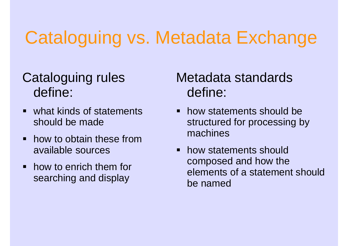## Cataloguing vs. Metadata Exchange

# define:

- what kinds of statements should be made
- how to obtain these from available sources
- how to enrich them for searching and display

#### Cataloguing rules Metadata standards define:

- how statements should be structured for processing by machines
- how statements should composed and how the elements of a statement should be named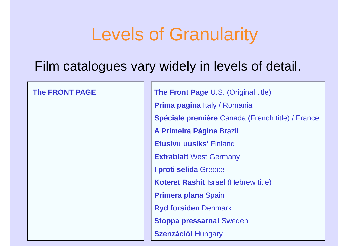## Levels of Granularity

#### Film catalogues vary widely in levels of detail.

#### **The FRONT PAGE**

**The Front Page** U.S. (Original title) **Prima pagina** Italy / Romania **Spéciale première** Canada (French title) / France **A Primeira Página** Brazil **Etusivu uusiks'** Finland **Extrablatt** West Germany **I proti selida** Greece **Koteret Rashit** Israel (Hebrew title) **Primera plana** Spain **Ryd forsiden** Denmark **Stoppa pressarna!** Sweden **Szenzáció!** Hungary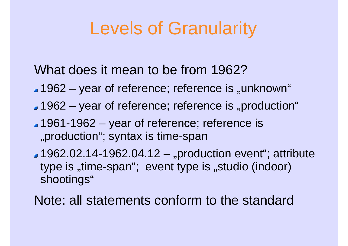## Levels of Granularity

What does it mean to be from 1962?

- 1962 – $-$  year of reference; reference is "unknown"
- $\blacksquare$  1962 year of reference; reference is "production"
- 1961-1962 year of reference; reference is "production"; syntax is time-span
- $\blacksquare$  1962.02.14-1962.04.12 "production event"; attribute type is "time-span"; event type is "studio (indoor) shootings"

Note: all statements conform to the standard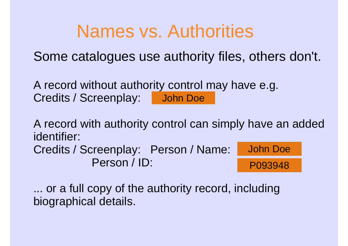## Names vs. Authorities

Some catalogues use authority files, others don't.

A record without authority control may have e.g.Credits / Screenplay: John Doe

A record with authority control can simply have an added identifier:Credits / Screenplay: Person / Name:Person / ID:John DoeP093948

... or a full copy of the authority record, including biographical details.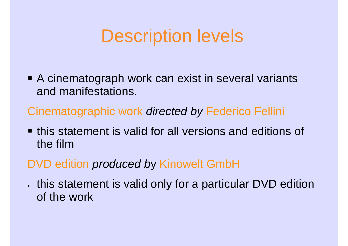## Description levels

■ A cinematograph work can exist in several variants and manifestations.

Cinematographic work directed by Federico Fellini

**this statement is valid for all versions and editions of** the film

### DVD edition produced by Kinowelt GmbH

K . this statement is valid only for a particular DVD edition of the work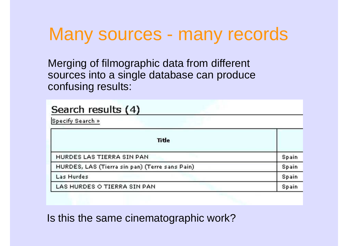## Many sources - many records

Merging of filmographic data from different sources into a single database can produce confusing results:

| Search results (4)<br>Specify Search »         |       |
|------------------------------------------------|-------|
|                                                |       |
| HURDES LAS TIERRA SIN PAN                      | Spain |
| HURDES, LAS (Tierra sin pan) (Terre sans Pain) | Spain |
| Las Hurdes                                     | Spain |
| LAS HURDES O TIERRA SIN PAN                    | Spain |

Is this the same cinematographic work?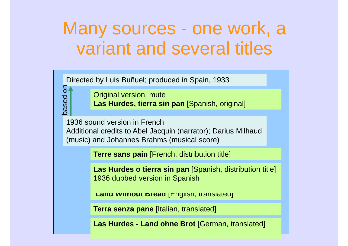## Many sources - one work, a variant and several titles

Directed by Luis Buñuel; produced in Spain, 1933

based on

besed

 $\overline{5}$ 

Original version, mute**Las Hurdes, tierra sin pan** [Spanish, original]

1936 sound version in French Additional credits to Abel Jacquin (narrator); Darius Milhaud (music) and Johannes Brahms (musical score)

**Terre sans pain** [French, distribution title]

**Las Hurdes o tierra sin pan** [Spanish, distribution title] 1936 dubbed version in Spanish

**Land Without Bread** [English, translated]

**Terra senza pane** [Italian, translated]

**Las Hurdes - Land ohne Brot** [German, translated]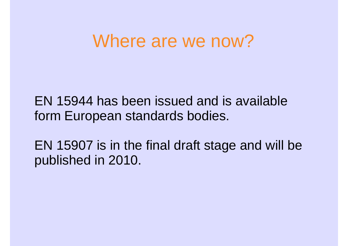## Where are we now?

EN 15944 has been issued and is available form European standards bodies.

EN 15907 is in the final draft stage and will be published in 2010.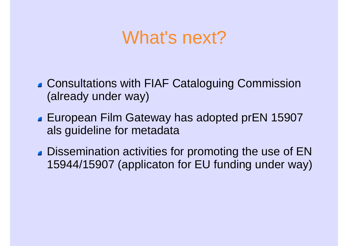## What's next?

- Consultations with FIAF Cataloguing Commission (already under way)
- **European Film Gateway has adopted prEN 15907** als guideline for metadata
- **Dissemination activities for promoting the use of EN** 15944/15907 (applicaton for EU funding under way)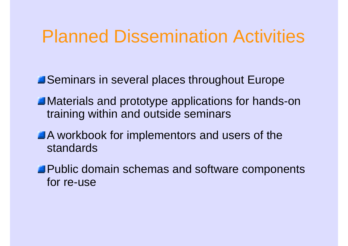## Planned Dissemination Activities

**Seminars in several places throughout Europe** 

- **Materials and prototype applications for hands-on** training within and outside seminars
- A workbook for implementors and users of the standards
- **Public domain schemas and software components** for re-use